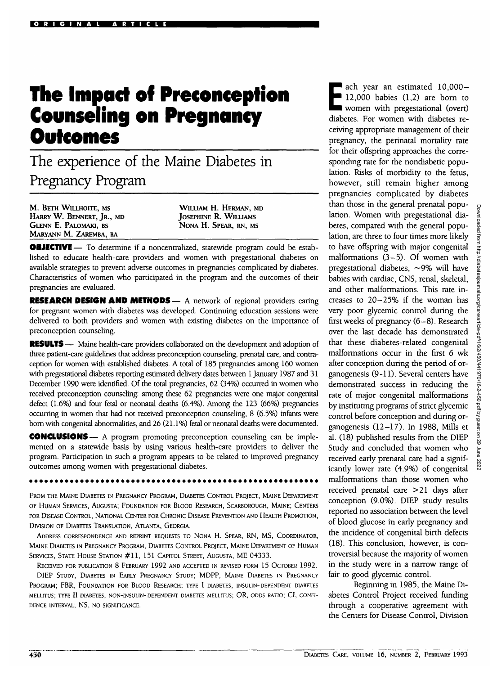## **The Impact of Preconception Counseling on Pregnancy Outcomes**

The experience of the Maine Diabetes in Pregnancy Program

M. BETH WILLHOITE, MS HARRY W. BENNERT, JR., MD GLENN E. PALOMAM, BS MARYANN M. ZAREMBA, BA

WILLIAM H. HERMAN, MD JOSEPHINE R. WILLIAMS NONA H. SPEAR, RN, MS

**OBJECTIVE** — To determine if a noncentralized, statewide program could be established to educate health-care providers and women with pregestational diabetes on available strategies to prevent adverse outcomes in pregnancies complicated by diabetes. Characteristics of women who participated in the program and the outcomes of their pregnancies are evaluated.

RESEARCH DESIGN AND METHODS - A network of regional providers caring for pregnant women with diabetes was developed. Continuing education sessions were delivered to both providers and women with existing diabetes on the importance of preconception counseling.

RESULTS — Maine health-care providers collaborated on the development and adoption of three patient-care guidelines that address preconception counseling, prenatal care, and contraception for women with established diabetes. A total of 185 pregnancies among 160 women with pregestational diabetes reporting estimated delivery dates between 1 January 1987 and 31 December 1990 were identified. Of the total pregnancies, 62 (34%) occurred in women who received preconception counseling: among these 62 pregnancies were one major congenital defect (1.6%) and four fetal or neonatal deaths (6.4%). Among the 123 (66%) pregnancies occurring in women that had not received preconception counseling, 8 (6.5%) infants were born with congenital abnormalities, and 26 (21.1%) fetal or neonatal deaths were documented.

CONCLUSIONS— A program promoting preconception counseling can be implemented on a statewide basis by using various health-care providers to deliver the program. Participation in such a program appears to be related to improved pregnancy outcomes among women with pregestational diabetes.

## 

FROM THE MAINE DIABETES IN PREGNANCY PROGRAM, DIABETES CONTROL PROJECT, MAINE DEPARTMENT OF HUMAN SERVICES, AUGUSTA; FOUNDATION FOR BLOOD RESEARCH, SCARBOROUGH, MAINE; CENTERS FOR DISEASE CONTROL, NATIONAL CENTER FOR CHRONIC DISEASE PREVENTION AND HEALTH PROMOTION, DIVISION OF DIABETES TRANSLATION, ATLANTA, GEORGIA.

ADDRESS CORRESPONDENCE AND REPRINT REQUESTS TO NONA H. SPEAR, RN, MS, COORDINATOR, MAINE DIABETES IN PREGNANCY PROGRAM, DIABETES CONTROL PROJECT, MAINE DEPARTMENT OF HUMAN SERVICES, STATE HOUSE STATION #11, 151 CAPITOL STREET, AUGUSTA, ME 04333.

RECEIVED FOR PUBLICATION 8 FEBRUARY 1992 AND ACCEPTED IN REVISED FORM 15 OCTOBER 1992.

D1EP STUDY, DIABETES IN EARLY PREGNANCY STUDY; MDPP, MAINE DIABETES IN PREGNANCY PROGRAM; FBR, FOUNDATION FOR BLOOD RESEARCH; TYPE 1 DIABETES, INSULIN-DEPENDENT DIABETES MELLITUS; TYPE 11 DIABETES, NON-INSULIN-DEPENDENT DIABETES MELLITUS; OR, ODDS RATIO; Cl, CONFI-DENCE INTERVAL; NS, NO SIGNIFICANCE.

ach year an estimated 10,000-<br>12,000 babies (1,2) are born to<br>women with pregestational (overt) 12,000 babies (1,2) are born to women with pregestational (overt) diabetes. For women with diabetes receiving appropriate management of their pregnancy, the perinatal mortality rate for their offspring approaches the corresponding rate for the nondiabetic population. Risks of morbidity to the fetus, however, still remain higher among pregnancies complicated by diabetes than those in the general prenatal population. Women with pregestational diabetes, compared with the general population, are three to four times more likely to have offspring with major congenital malformations (3-5). Of women with pregestational diabetes, —9% will have babies with cardiac, CNS, renal, skeletal, and other malformations. This rate increases to 20-25% if the woman has very poor glycemic control during the first weeks of pregnancy (6-8). Research over the last decade has demonstrated that these diabetes-related congenital malformations occur in the first 6 wk after conception during the period of organogenesis (9-11). Several centers have demonstrated success in reducing the rate of major congenital malformations by institution congenitation and contactors control before conception and during orcontrol before conception and during organogenesis  $(12-17)$ . In 1988, Mills et al. (18) published results from the DIEP Study and concluded that women who received early prenatal care had a significantly lower rate (4.9%) of congenital malformations than those women who received prenatal care  $>21$  days after conception (9.0%). DIEP study results reported no association between the level of blood glucose in early pregnancy and the incidence of congenital birth defects  $(18)$ . This conclusion, however, is controversial because the majority of women in the study were in a narrow range of fair to good glycemic control.

Beginning in 1985, the Maine Diabetes Control Project received funding through a cooperative agreement with the Centers for Disease Control, Division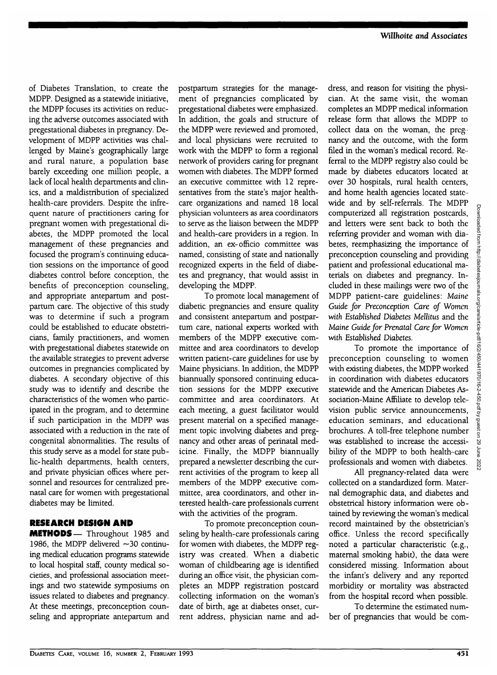of Diabetes Translation, to create the MDPP. Designed as a statewide initiative, the MDPP focuses its activities on reducing the adverse outcomes associated with pregestational diabetes in pregnancy. Development of MDPP activities was challenged by Maine's geographically large and rural nature, a population base barely exceeding one million people, a lack of local health departments and clinics, and a maldistribution of specialized health-care providers. Despite the infrequent nature of practitioners caring for pregnant women with pregestational diabetes, the MDPP promoted the local management of these pregnancies and focused the program's continuing education sessions on the importance of good diabetes control before conception, the benefits of preconception counseling, and appropriate antepartum and postpartum care. The objective of this study was to determine if such a program could be established to educate obstetricians, family practitioners, and women with pregestational diabetes statewide on the available strategies to prevent adverse outcomes in pregnancies complicated by diabetes. A secondary objective of this study was to identify and describe the characteristics of the women who participated in the program, and to determine if such participation in the MDPP was associated with a reduction in the rate of congenital abnormalities. The results of this study serve as a model for state public-health departments, health centers, and private physician offices where personnel and resources for centralized prenatal care for women with pregestational diabetes may be limited.

## **RESEARCH DESIGN AND**

METHODS— Throughout 1985 and 1986, the MDPP delivered  $\sim$ 30 continuing medical education programs statewide to local hospital staff, county medical societies, and professional association meetings and two statewide symposiums on issues related to diabetes and pregnancy. At these meetings, preconception counseling and appropriate antepartum and

postpartum strategies for the management of pregnancies complicated by pregestational diabetes were emphasized. In addition, the goals and structure of the MDPP were reviewed and promoted, and local physicians were recruited to work with the MDPP to form a regional network of providers caring for pregnant women with diabetes. The MDPP formed an executive committee with 12 representatives from the state's major healthcare organizations and named 18 local physician volunteers as area coordinators to serve as the liaison between the MDPP and health-care providers in a region. In addition, an ex-officio committee was named, consisting of state and nationally recognized experts in the field of diabetes and pregnancy, that would assist in developing the MDPP.

To promote local management of diabetic pregnancies and ensure quality and consistent antepartum and postpartum care, national experts worked with members of the MDPP executive committee and area coordinators to develop written patient-care guidelines for use by Maine physicians. In addition, the MDPP biannually sponsored continuing education sessions for the MDPP executive committee and area coordinators. At each meeting, a guest facilitator would present material on a specified management topic involving diabetes and pregnancy and other areas of perinatal medicine. Finally, the MDPP biannually prepared a newsletter describing the current activities of the program to keep all members of the MDPP executive committee, area coordinators, and other interested health-care professionals current with the activities of the program.

To promote preconception counseling by health-care professionals caring for women with diabetes, the MDPP registry was created. When a diabetic woman of childbearing age is identified during an office visit, the physician completes an MDPP registration postcard collecting information on the woman's date of birth, age at diabetes onset, current address, physician name and address, and reason for visiting the physician. At the same visit, the woman completes an MDPP medical information release form that allows the MDPP to collect data on the woman, the pregnancy and the outcome, with the form filed in the woman's medical record. Referral to the MDPP registry also could be made by diabetes educators located at over 30 hospitals, rural health centers, and home health agencies located statewide and by self-referrals. The MDPP computerized all registration postcards, and letters were sent back to both the referring provider and woman with diabetes, reemphasizing the importance of preconception counseling and providing patient and professional educational materials on diabetes and pregnancy. Included in these mailings were two of the MDPP patient-care guidelines: Maine *Guide for Preconception Care of Women with Established Diabetes Mellitus* and the *Maine Guide for Prenatal Care for Women with Established Diabetes.*

To promote the importance of preconception counseling to women with existing diabetes, the MDPP worked in coordination with diabetes educators statewide and the American Diabetes Association-Maine Affiliate to develop television public service announcements, education seminars, and educational brochures. A toll-free telephone number was established to increase the accessibility of the MDPP to both health-care professionals and women with diabetes.

All pregnancy-related data were collected on a standardized form. Maternal demographic data, and diabetes and obstetrical history information were obtained by reviewing the woman's medical record maintained by the obstetrician's office. Unless the record specifically noted a particular characteristic (e.g., maternal smoking habit), the data were considered missing. Information about the infant's delivery and any reported morbidity or mortality was abstracted from the hospital record when possible.

To determine the estimated number of pregnancies that would be com-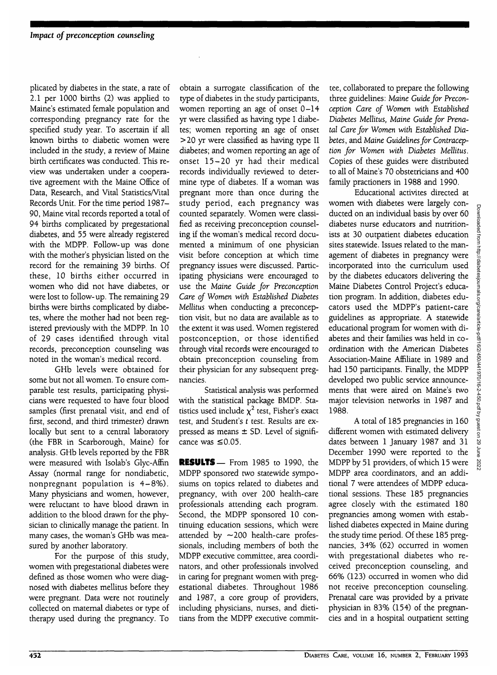plicated by diabetes in the state, a rate of 2.1 per 1000 births (2) was applied to Maine's estimated female population and corresponding pregnancy rate for the specified study year. To ascertain if all known births to diabetic women were included in the study, a review of Maine birth certificates was conducted. This review was undertaken under a cooperative agreement with the Maine Office of Data, Research, and Vital Statistics/Vital Records Unit. For the time period 1987- 90, Maine vital records reported a total of 94 births complicated by pregestational diabetes, and 55 were already registered with the MDPP. Follow-up was done with the mother's physician listed on the record for the remaining 39 births. Of these, 10 births either occurred in women who did not have diabetes, or were lost to follow-up. The remaining 29 births were births complicated by diabetes, where the mother had not been registered previously with the MDPP. In 10 of 29 cases identified through vital records, preconception counseling was noted in the woman's medical record.

GHb levels were obtained for some but not all women. To ensure comparable test results, participating physicians were requested to have four blood samples (first prenatal visit, and end of first, second, and third trimester) drawn locally but sent to a central laboratory (the FBR in Scarborough, Maine) for analysis. GHb levels reported by the FBR were measured with Isolab's Glyc-Affin Assay (normal range for nondiabetic, nonpregnant population is 4-8%). Many physicians and women, however, were reluctant to have blood drawn in addition to the blood drawn for the physician to clinically manage the patient. In many cases, the woman's GHb was measured by another laboratory.

For the purpose of this study, women with pregestational diabetes were defined as those women who were diagnosed with diabetes mellitus before they were pregnant. Data were not routinely collected on maternal diabetes or type of therapy used during the pregnancy. To

obtain a surrogate classification of the type of diabetes in the study participants, women reporting an age of onset 0-14 yr were classified as having type I diabetes; women reporting an age of onset >20 yr were classified as having type II diabetes; and women reporting an age of onset 15-20 yr had their medical records individually reviewed to determine type of diabetes. If a woman was pregnant more than once during the study period, each pregnancy was counted separately. Women were classified as receiving preconception counseling if the woman's medical record documented a minimum of one physician visit before conception at which time pregnancy issues were discussed. Participating physicians were encouraged to use the *Maine Guide for Preconception Care of Women with Established Diabetes Mellitus* when conducting a preconception visit, but no data are available as to the extent it was used. Women registered postconception, or those identified through vital records were encouraged to obtain preconception counseling from their physician for any subsequent pregnancies.

Statistical analysis was performed with the statistical package BMDP. Statistics used include  $\chi^2$  test, Fisher's exact test, and Student's *t* test. Results are expressed as means  $\pm$  SD. Level of significance was  $\leq 0.05$ .

RESULTS — From 1985 to 1990, the MDPP sponsored two statewide symposiums on topics related to diabetes and pregnancy, with over 200 health-care professionals attending each program. Second, the MDPP sponsored 10 continuing education sessions, which were attended by  $\sim$ 200 health-care professionals, including members of both the MDPP executive committee, area coordinators, and other professionals involved in caring for pregnant women with pregestational diabetes. Throughout 1986 and 1987, a core group of providers, including physicians, nurses, and dietitians from the MDPP executive committee, collaborated to prepare the following three guidelines: *Maine Guide for Preconception Care of Women with Established Diabetes Mellitus, Maine Guide for Prenatal Care for Women with Established Diabetes,* and *Maine Guidelines for Contraception for* Women *with Diabetes Mellitus.* Copies of these guides were distributed to all of Maine's 70 obstetricians and 400 family practioners in 1988 and 1990.

Educational activites directed at women with diabetes were largely conducted on an individual basis by over 60 diabetes nurse educators and nutritionists at 30 outpatient diabetes education sites statewide. Issues related to the management of diabetes in pregnancy were incorporated into the curriculum used by the diabetes educators delivering the Maine Diabetes Control Project's education program. In addition, diabetes educators used the MDPP's patient-care guidelines as appropriate. A statewide educational program for women with diabetes and their families was held in coordination with the American Diabetes Association-Maine Affiliate in 1989 and had 150 participants. Finally, the MDPP developed two public service announcements that were aired on Maine's two major television networks in 1987 and 1988.

A total of 185 pregnancies in 160 different women with estimated delivery dates between 1 January 1987 and 31 December 1990 were reported to the MDPP by 51 providers, of which 15 were MDPP area coordinators, and an additional 7 were attendees of MDPP educational sessions. These 185 pregnancies agree closely with the estimated 180 pregnancies among women with established diabetes expected in Maine during the study time period. Of these 185 pregnancies, 34% (62) occurred in women with pregestational diabetes who received preconception counseling, and 66% (123) occurred in women who did not receive preconception counseling. Prenatal care was provided by a private physician in 83% (154) of the pregnancies and in a hospital outpatient setting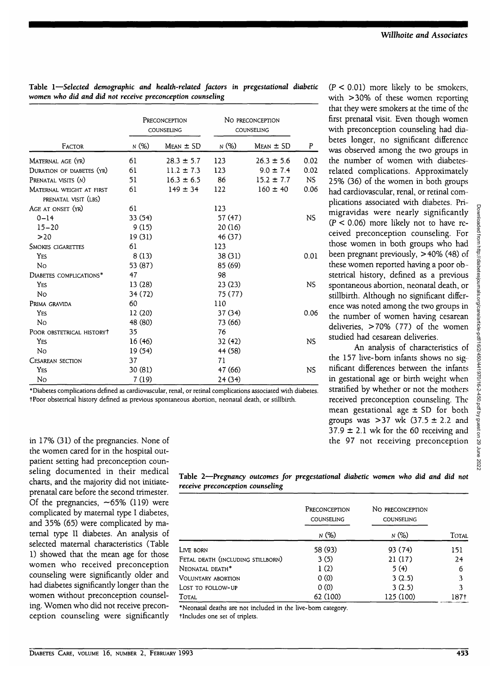$(P < 0.01)$  more likely to be smokers, with >30% of these women reporting that they were smokers at the time of the first prenatal visit. Even though women with preconception counseling had diabetes longer, no significant difference was observed among the two groups in the number of women with diabetesrelated complications. Approximately 25% (36) of the women in both groups had cardiovascular, renal, or retinal complications associated with diabetes. Primigravidas were nearly significantly  $(P < 0.06)$  more likely not to have received preconception counseling. For those women in both groups who had been pregnant previously, > 40% (48) of these women reported having a poor obstetrical history, defined as a previous spontaneous abortion, neonatal death, or stillbirth. Although no significant difference was noted among the two groups in the number of women having cesarean deliveries, >70% (77) of the women

|                                                  |         | PRECONCEPTION<br>COUNSELING |         | NO PRECONCEPTION<br>COUNSELING |           |  |
|--------------------------------------------------|---------|-----------------------------|---------|--------------------------------|-----------|--|
| <b>FACTOR</b>                                    | N (%)   | $Mean \pm SD$               | N (%)   | $Mean \pm SD$                  | P         |  |
| MATERNAL AGE (YR)                                | 61      | $28.3 \pm 5.7$              | 123     | $26.3 \pm 5.6$                 | 0.02      |  |
| DURATION OF DIABETES (YR)                        | 61      | $11.2 \pm 7.3$              | 123     | $9.0 \pm 7.4$                  | 0.02      |  |
| PRENATAL VISITS (N)                              | 51      | $16.3 \pm 6.5$              | 86      | $15.2 \pm 7.7$                 | NS.       |  |
| MATERNAL WEIGHT AT FIRST<br>PRENATAL VISIT (LBS) | 61      | $149 \pm 34$                | 122     | $160 \pm 40$                   | 0.06      |  |
| AGE AT ONSET (YR)                                | 61      |                             | 123     |                                |           |  |
| $0 - 14$                                         | 33 (54) |                             | 57 (47) |                                | <b>NS</b> |  |
| $15 - 20$                                        | 9(15)   |                             | 20(16)  |                                |           |  |
| >20                                              | 19 (31) |                             | 46 (37) |                                |           |  |
| <b>SMOKES CIGARETTES</b>                         | 61      |                             | 123     |                                |           |  |
| Yes                                              | 8(13)   |                             | 38 (31) |                                | 0.01      |  |
| No                                               | 53 (87) |                             | 85 (69) |                                |           |  |
| DIABETES COMPLICATIONS*                          | 47      |                             | 98      |                                |           |  |
| <b>YES</b>                                       | 13(28)  |                             | 23(23)  |                                | NS.       |  |
| <b>No</b>                                        | 34(72)  |                             | 75 (77) |                                |           |  |
| PRIMA GRAVIDA                                    | 60      |                             | 110     |                                |           |  |
| <b>YES</b>                                       | 12 (20) |                             | 37 (34) |                                | 0.06      |  |
| <b>No</b>                                        | 48 (80) |                             | 73 (66) |                                |           |  |
| POOR OBSTETRICAL HISTORYT                        | 35      |                             | 76      |                                |           |  |
| YES                                              | 16(46)  |                             | 32 (42) |                                | NS        |  |
| No                                               | 19 (54) |                             | 44 (58) |                                |           |  |
| <b>CESAREAN SECTION</b>                          | 37      |                             | 71      |                                |           |  |
| Yes                                              | 30(81)  |                             | 47 (66) |                                | <b>NS</b> |  |
| N <sub>O</sub>                                   | 7(19)   |                             | 24 (34) |                                |           |  |

**Table 1—***Selected demographic and health-related factors in pregestational diabetic women who did and did not receive preconception counseling*

\* Diabetes complications defined as cardiovascular, renal, or retinal complications associated with diabetes. tPoor obstetrical history defined as previous spontaneous abortion, neonatal death, or stillbirth.

in 17% (31) of the pregnancies. None of the women cared for in the hospital outpatient setting had preconception counseling documented in their medical charts, and the majority did not initiateprenatal care before the second trimester. Of the pregnancies,  $~10$ 5% (119) were complicated by maternal type I diabetes, and 35% (65) were complicated by maternal type II diabetes. An analysis of selected maternal characteristics (Table 1) showed that the mean age for those women who received preconception counseling were significantly older and had diabetes significantly longer than the women without preconception counseling. Women who did not receive preconception counseling were significantly

stratified by whether or not the mothers received preconception counseling. The mean gestational age  $\pm$  SD for both groups was  $>37$  wk (37.5  $\pm$  2.2 and  $37.9 \pm 2.1$  wk for the 60 receiving and the 97 not receiving preconception

studied had cesarean deliveries.

An analysis of characteristics of the 157 live-born infants shows no significant differences between the infants in gestational age or birth weight when

| Table 2-Pregnancy outcomes for pregestational diabetic women who did and did not |  |  |  |  |  |
|----------------------------------------------------------------------------------|--|--|--|--|--|
| receive preconception counseling                                                 |  |  |  |  |  |

|                                   | PRECONCEPTION<br><b>COUNSELING</b> | NO PRECONCEPTION<br>COUNSELING |       |  |
|-----------------------------------|------------------------------------|--------------------------------|-------|--|
|                                   | N (%)                              | N (%)                          | TOTAL |  |
| LIVE BORN                         | 58 (93)                            | 93 (74)                        | 151   |  |
| FETAL DEATH (INCLUDING STILLBORN) | 3(5)                               | 21(17)                         | 24    |  |
| NEONATAL DEATH*                   | 1(2)                               | 5(4)                           | 6     |  |
| Voluntary abortion                | 0(0)                               | 3(2.5)                         | 3     |  |
| LOST TO FOLLOW-UP                 | 0(0)                               | 3(2.5)                         | 3     |  |
| Total                             | 62 (100)                           | 125 (100)                      | 187†  |  |

\* Neonatal deaths are not included in the live-born category, tlncludes one set of triplets.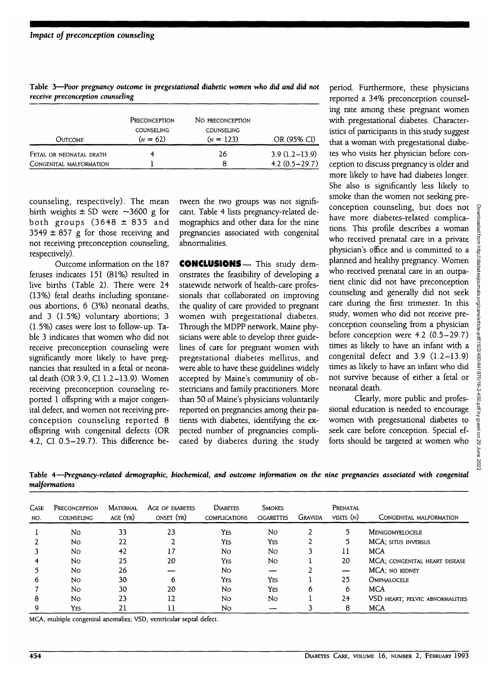|  |                                  |  | Table 3—Poor pregnancy outcome in pregestational diabetic women who did and did not |  |  |  |  |
|--|----------------------------------|--|-------------------------------------------------------------------------------------|--|--|--|--|
|  | receive preconception counseling |  |                                                                                     |  |  |  |  |

| Outcome                 | PRECONCEPTION<br><b>COUNSELING</b><br>$(N = 62)$ | NO PRECONCEPTION<br>COUNSELING<br>$(N = 123)$ | OR (95% CI)       |
|-------------------------|--------------------------------------------------|-----------------------------------------------|-------------------|
| FETAL OR NEONATAL DEATH |                                                  | 26                                            | $3.9(1.2 - 13.9)$ |
| CONGENITAL MALFORMATION |                                                  | 8                                             | $4.2(0.5-29.7)$   |

counseling, respectively). The mean birth weights  $\pm$  SD were  $\sim$ 3600 g for both groups  $(3648 \pm 835$  and 3549  $\pm$  857 g for those receiving and not receiving preconception counseling, respectively).

Outcome information on the 187 fetuses indicates 151 (81%) resulted in live births (Table 2). There were 24 (13%) fetal deaths including spontaneous abortions, 6 (3%) neonatal deaths, and 3 (1.5%) voluntary abortions; 3 (1.5%) cases were lost to follow-up. Table 3 indicates that women who did not receive preconception counseling were significantly more likely to have pregnancies that resulted in a fetal or neonatal death (OR 3.9, CI 1.2-13.9). Women receiving preconception counseling reported 1 offspring with a major congenital defect, and women not receiving preconception counseling reported 8 offspring with congenital defects (OR 4.2, CI 0.5-29.7). This difference be-

tween the two groups was not significant. Table 4 lists pregnancy-related demographics and other data for the nine pregnancies associated with congenital abnormalities.

**CONCLUSIONS—** This study demonstrates the feasibility of developing a statewide network of health-care professionals that collaborated on improving the quality of care provided to pregnant women with pregestational diabetes. Through the MDPP network, Maine physicians were able to develop three guidelines of care for pregnant women with pregestational diabetes mellitus, and were able to have these guidelines widely accepted by Maine's community of obstetricians and family practitioners. More than 50 of Maine's physicians voluntarily reported on pregnancies among their patients with diabetes, identifying the expected number of pregnancies complicated by diabetes during the study period. Furthermore, these physicians reported a 34% preconception counseling rate among these pregnant women with pregestational diabetes. Characteristics of participants in this study suggest that a woman with pregestational diabetes who visits her physician before conception to discuss pregnancy is older and more likely to have had diabetes longer. She also is significantly less likely to smoke than the women not seeking preconception counseling, but does not have more diabetes-related complications. This profile describes a woman who received prenatal care in a private physician's office and is committed to a planned and healthy pregnancy. Women who received prenatal care in an outpatient clinic did not have preconception counseling and generally did not seek care during the first trimester. In this study, women who did not receive preconception counseling from a physician before conception were 4.2 (0.5-29.7) times as likely to have an infant with a congenital defect and 3.9 (1.2-13.9) times as likely to have an infant who did not survive because of either a fetal or neonatal death.

Clearly, more public and professional education is needed to encourage women with pregestational diabetes to seek care before conception. Special efforts should be targeted at women who

Table 4—*Pregnancy-related demographic, biochemical, and outcome information on the nine pregnancies associated with congenital malformations*

| <b>CASE</b><br>NO. | PRECONCEPTION<br><b>COUNSELING</b> | <b>MATERNAL</b><br>AGE (YR) | AGE OF DIABETES<br>ONSET (YR) | <b>DIARETES</b><br><b>COMPLICATIONS</b> | <b>SMOKES</b><br><b>CIGARETTES</b> | <b>GRAVIDA</b> | PRENATAL<br>VIS(Ts(N)) | CONGENITAL MALFORMATION         |
|--------------------|------------------------------------|-----------------------------|-------------------------------|-----------------------------------------|------------------------------------|----------------|------------------------|---------------------------------|
|                    | No                                 | 33                          | 23                            | Yes                                     | No                                 |                |                        | <b>MENIGOMYELOCELE</b>          |
|                    | No                                 | 22                          |                               | Yes                                     | Yes                                |                |                        | MCA; SITUS INVERSUS             |
|                    | No                                 | 42                          | 17                            | No                                      | N <sub>O</sub>                     |                | 11                     | <b>MCA</b>                      |
|                    | No                                 | 25                          | 20                            | Yes                                     | No.                                |                | 20                     | MCA; CONGENITAL HEART DISEASE   |
|                    | No                                 | 26                          |                               | No                                      |                                    |                |                        | MCA; NO KIDNEY                  |
| 6                  | No.                                | 30                          | 6                             | Yes                                     | Yes                                |                | 25                     | OMPHALOCELE                     |
|                    | N <sub>o</sub>                     | 30                          | 20                            | No.                                     | Yes                                | 6              | 6                      | <b>MCA</b>                      |
| 8                  | No.                                | 23                          | 12                            | No                                      | No.                                |                | 24                     | VSD HEART; PELVIC ABNORMALITIES |
| 9                  | <b>YES</b>                         | 21                          | 11                            | No                                      |                                    |                | 8                      | <b>MCA</b>                      |

MCA, multiple congenital anomalies; VSD, ventricular septal defect.